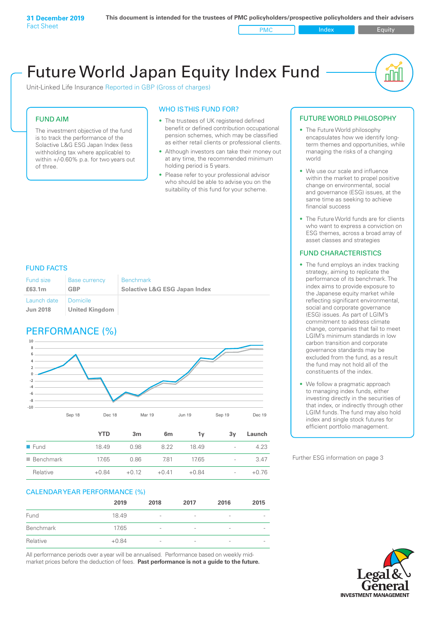Unit-Linked Life Insurance Reported in GBP (Gross of charges)

#### FUND AIM

The investment objective of the fund is to track the performance of the Solactive L&G ESG Japan Index (less withholding tax where applicable) to within +/-0.60% p.a. for two years out of three.

#### WHO IS THIS FUND FOR?

- The trustees of UK registered defined benefit or defined contribution occupational pension schemes, which may be classified as either retail clients or professional clients.
- Although investors can take their money out at any time, the recommended minimum holding period is 5 years.
- Please refer to your professional advisor who should be able to advise you on the suitability of this fund for your scheme.

#### FUND FACTS

| Fund size<br>£63.1m    | Base currency<br>GBP | <b>Benchmark</b><br><b>Solactive L&amp;G ESG Japan Index</b> |
|------------------------|----------------------|--------------------------------------------------------------|
| Launch date   Domicile |                      |                                                              |
| <b>Jun 2018</b>        | United Kingdom       |                                                              |

### PERFORMANCE (%)



|                          | <b>YTD</b> | 3m      | 6m      | ٦v      | 3v                       | Launch  |
|--------------------------|------------|---------|---------|---------|--------------------------|---------|
| $\blacksquare$ Fund      | 18.49      | 0.98    | 822     | 1849    | $\overline{\phantom{a}}$ | 4.23    |
| $\blacksquare$ Benchmark | 17.65      | 0.86    | 781     | 17.65   | $\overline{\phantom{a}}$ | 3.47    |
| Relative                 | $+0.84$    | $+0.12$ | $+0.41$ | $+0.84$ | $\overline{\phantom{a}}$ | $+0.76$ |

#### CALENDAR YEAR PERFORMANCE (%)

|           | 2019    | 2018                         | 2017                     | 2016                     | 2015                     |
|-----------|---------|------------------------------|--------------------------|--------------------------|--------------------------|
| Fund      | 18.49   | $\overline{\phantom{a}}$     | $\overline{\phantom{0}}$ | $\overline{\phantom{a}}$ | $\overline{\phantom{a}}$ |
| Benchmark | 17.65   | $\overline{\phantom{a}}$     | $\overline{\phantom{0}}$ | $\overline{\phantom{a}}$ | $\overline{\phantom{0}}$ |
| Relative  | $+0.84$ | $\qquad \qquad \blacksquare$ | $\overline{\phantom{0}}$ | $\qquad \qquad$          | $\overline{\phantom{0}}$ |

All performance periods over a year will be annualised. Performance based on weekly midmarket prices before the deduction of fees. **Past performance is not a guide to the future.**

#### FUTURE WORLD PHILOSOPHY

• The Future World philosophy encapsulates how we identify longterm themes and opportunities, while managing the risks of a changing world

nl IN

- We use our scale and influence within the market to propel positive change on environmental, social and governance (ESG) issues, at the same time as seeking to achieve financial success
- The Future World funds are for clients who want to express a conviction on ESG themes, across a broad array of asset classes and strategies

#### FUND CHARACTERISTICS

- The fund employs an index tracking strategy, aiming to replicate the performance of its benchmark. The index aims to provide exposure to the Japanese equity market while reflecting significant environmental, social and corporate governance (ESG) issues. As part of LGIM's commitment to address climate change, companies that fail to meet LGIM's minimum standards in low carbon transition and corporate governance standards may be excluded from the fund, as a result the fund may not hold all of the constituents of the index.
- We follow a pragmatic approach to managing index funds, either investing directly in the securities of that index, or indirectly through other LGIM funds. The fund may also hold index and single stock futures for efficient portfolio management.

Further ESG information on page 3

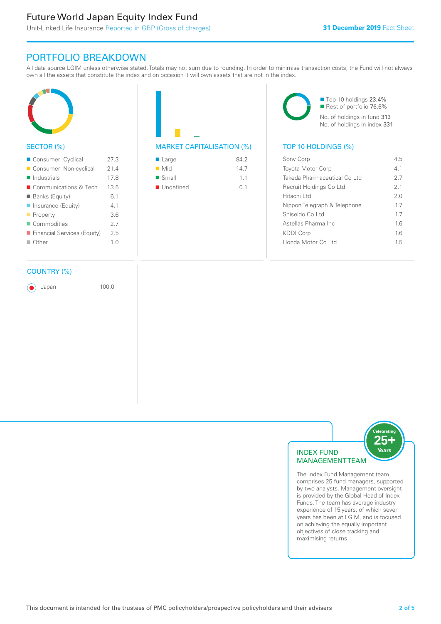### PORTFOLIO BREAKDOWN

All data source LGIM unless otherwise stated. Totals may not sum due to rounding. In order to minimise transaction costs, the Fund will not always own all the assets that constitute the index and on occasion it will own assets that are not in the index.



#### SECTOR (%)

| Consumer Cyclical           | 27 3           |
|-----------------------------|----------------|
| Consumer Non-cyclical       | 21.4           |
| $\blacksquare$ Industrials  | 178            |
| ■ Communications & Tech     | 135            |
| <b>Banks (Equity)</b>       | 61             |
| ■ Insurance (Equity)        | 41             |
| $\blacksquare$ Property     | 36             |
| Commodities                 | 2.7            |
| Financial Services (Equity) | 25             |
| $\Box$ Other                | 1 <sub>0</sub> |
|                             |                |

#### COUNTRY (%)

Japan 100.0

| $\blacksquare$ Large     | 84.2 |
|--------------------------|------|
| $\blacksquare$ Mid       | 147  |
| $\blacksquare$ Small     | 11   |
| $\blacksquare$ Undefined | O 1  |
|                          |      |

■ Top 10 holdings 23.4% Rest of portfolio 76.6% No. of holdings in fund 313 No. of holdings in index 331

#### MARKET CAPITALISATION (%) TOP 10 HOLDINGS (%)

| Sony Corp                    | 45  |
|------------------------------|-----|
| <b>Toyota Motor Corp</b>     | 41  |
| Takeda Pharmaceutical Co Ltd | 27  |
| Recruit Holdings Co Ltd      | 2.1 |
| Hitachi I td                 | 2 O |
| Nippon Telegraph & Telephone | 17  |
| Shiseido Coltd               | 17  |
| Astellas Pharma Inc          | 16  |
| KDDI Corp                    | 16  |
| Honda Motor Coltd            | 15  |
|                              |     |



The Index Fund Management team comprises 25 fund managers, supported by two analysts. Management oversight is provided by the Global Head of Index Funds. The team has average industry experience of 15 years, of which seven years has been at LGIM, and is focused on achieving the equally important objectives of close tracking and maximising returns.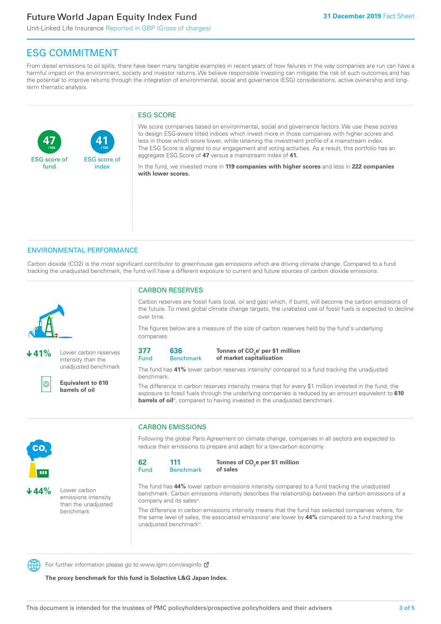**41**

ESG score of index

Unit-Linked Life Insurance Reported in GBP (Gross of charges)

## ESG COMMITMENT

**/100 /100**

From diesel emissions to oil spills, there have been many tangible examples in recent years of how failures in the way companies are run can have a harmful impact on the environment, society and investor returns. We believe responsible investing can mitigate the risk of such outcomes and has the potential to improve returns through the integration of environmental, social and governance (ESG) considerations, active ownership and longterm thematic analysis.

#### ESG SCORE

We score companies based on environmental, social and governance factors. We use these scores to design ESG-aware tilted indices which invest more in those companies with higher scores and less in those which score lower, while retaining the investment profile of a mainstream index. The ESG Score is aligned to our engagement and voting activities. As a result, this portfolio has an aggregate ESG Score of **47** versus a mainstream index of **41.**

In the fund, we invested more in **119 companies with higher scores** and less in **222 companies with lower scores.**

#### ENVIRONMENTAL PERFORMANCE

Carbon dioxide (CO2) is the most significant contributor to greenhouse gas emissions which are driving climate change. Compared to a fund tracking the unadjusted benchmark, the fund will have a different exposure to current and future sources of carbon dioxide emissions.



**47**

ESG score of fund

**41%** Lower carbon reserves intensity than the unadjusted benchmark



**Equivalent to 610 barrels of oil**

#### CARBON RESERVES

Carbon reserves are fossil fuels (coal, oil and gas) which, if burnt, will become the carbon emissions of the future. To meet global climate change targets, the unabated use of fossil fuels is expected to decline over time.

The figures below are a measure of the size of carbon reserves held by the fund's underlying companies.

| 377  | 636         |
|------|-------------|
| Fund | <b>Bend</b> |

#### **Benchmark** Tonnes of CO<sub>2</sub>e<sup>i</sup> per \$1 million **of market capitalisation**

The fund has 41% lower carbon reserves intensity<sup>ii</sup> compared to a fund tracking the unadjusted benchmark.

The difference in carbon reserves intensity means that for every \$1 million invested in the fund, the exposure to fossil fuels through the underlying companies is reduced by an amount equivalent to **610**  barrels of oil<sup>iii</sup>, compared to having invested in the unadjusted benchmark.



**44%** Lower carbon emissions intensity than the unadjusted benchmark

### CARBON EMISSIONS

Following the global Paris Agreement on climate change, companies in all sectors are expected to reduce their emissions to prepare and adapt for a low-carbon economy.

| 62   | 111              |
|------|------------------|
| Fund | <b>Benchmark</b> |

Tonnes of CO<sub>2</sub>e per \$1 million **of sales**

The fund has **44%** lower carbon emissions intensity compared to a fund tracking the unadjusted benchmark. Carbon emissions intensity describes the relationship between the carbon emissions of a company and its sales<sup>iv</sup>.

The difference in carbon emissions intensity means that the fund has selected companies where, for the same level of sales, the associated emissions<sup>v</sup> are lower by **44%** compared to a fund tracking the unadjusted benchmark<sup>vi</sup>.

For further information please go to www.lgim.com/esginfo Ø

**The proxy benchmark for this fund is Solactive L&G Japan Index.**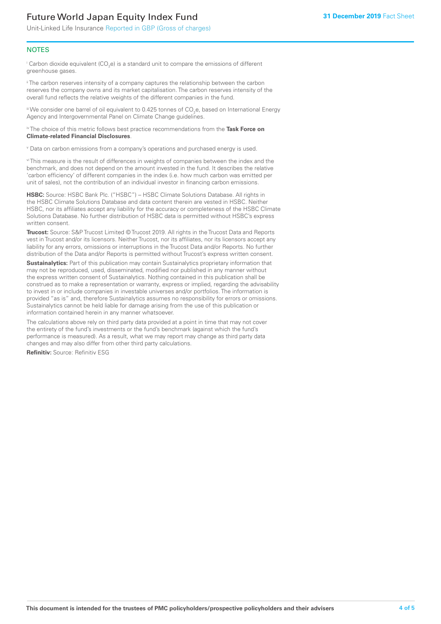Unit-Linked Life Insurance Reported in GBP (Gross of charges)

#### **NOTES**

 $^\mathrm{i}$  Carbon dioxide equivalent (CO<sub>2</sub>e) is a standard unit to compare the emissions of different greenhouse gases.

<sup>ii</sup> The carbon reserves intensity of a company captures the relationship between the carbon reserves the company owns and its market capitalisation. The carbon reserves intensity of the overall fund reflects the relative weights of the different companies in the fund.

iii We consider one barrel of oil equivalent to 0.425 tonnes of CO<sub>2</sub>e, based on International Energy Agency and Intergovernmental Panel on Climate Change guidelines.

#### iv The choice of this metric follows best practice recommendations from the **Task Force on Climate-related Financial Disclosures**.

v Data on carbon emissions from a company's operations and purchased energy is used.

vi This measure is the result of differences in weights of companies between the index and the benchmark, and does not depend on the amount invested in the fund. It describes the relative 'carbon efficiency' of different companies in the index (i.e. how much carbon was emitted per unit of sales), not the contribution of an individual investor in financing carbon emissions.

**HSBC:** Source: HSBC Bank Plc. ("HSBC") – HSBC Climate Solutions Database. All rights in the HSBC Climate Solutions Database and data content therein are vested in HSBC. Neither HSBC, nor its affiliates accept any liability for the accuracy or completeness of the HSBC Climate Solutions Database. No further distribution of HSBC data is permitted without HSBC's express written consent.

**Trucost:** Source: S&P Trucost Limited © Trucost 2019. All rights in the Trucost Data and Reports vest in Trucost and/or its licensors. Neither Trucost, nor its affiliates, nor its licensors accept any liability for any errors, omissions or interruptions in the Trucost Data and/or Reports. No further distribution of the Data and/or Reports is permitted without Trucost's express written consent.

**Sustainalytics:** Part of this publication may contain Sustainalytics proprietary information that may not be reproduced, used, disseminated, modified nor published in any manner without the express written consent of Sustainalytics. Nothing contained in this publication shall be construed as to make a representation or warranty, express or implied, regarding the advisability to invest in or include companies in investable universes and/or portfolios. The information is provided "as is" and, therefore Sustainalytics assumes no responsibility for errors or omissions. Sustainalytics cannot be held liable for damage arising from the use of this publication or information contained herein in any manner whatsoever.

The calculations above rely on third party data provided at a point in time that may not cover the entirety of the fund's investments or the fund's benchmark (against which the fund's performance is measured). As a result, what we may report may change as third party data changes and may also differ from other third party calculations.

**Refinitiv:** Source: Refinitiv ESG